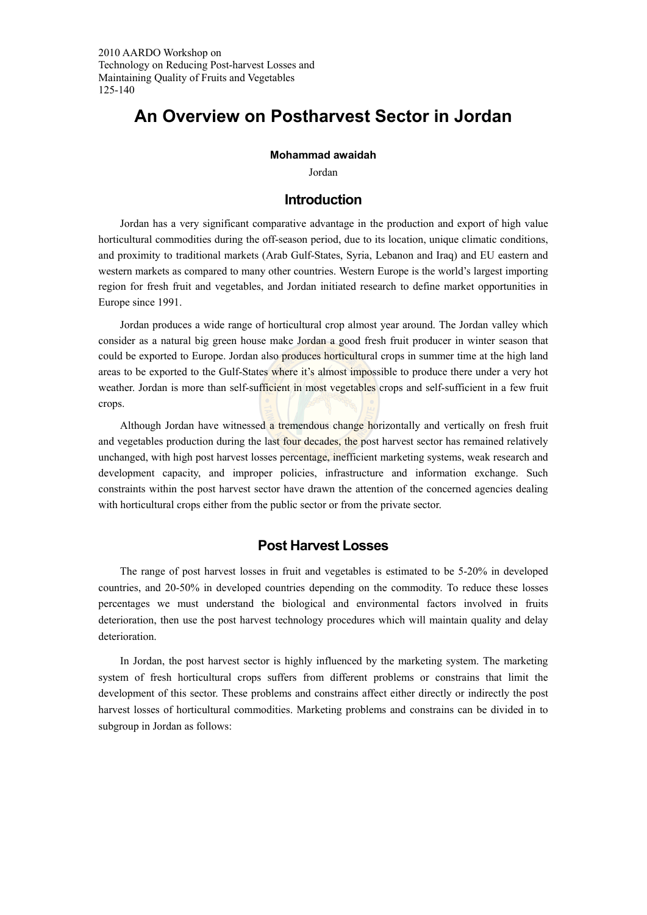2010 AARDO Workshop on Technology on Reducing Post-harvest Losses and Maintaining Quality of Fruits and Vegetables 125-140

# **An Overview on Postharvest Sector in Jordan**

#### **Mohammad awaidah**

Jordan

# **Introduction**

Jordan has a very significant comparative advantage in the production and export of high value horticultural commodities during the off-season period, due to its location, unique climatic conditions, and proximity to traditional markets (Arab Gulf-States, Syria, Lebanon and Iraq) and EU eastern and western markets as compared to many other countries. Western Europe is the world's largest importing region for fresh fruit and vegetables, and Jordan initiated research to define market opportunities in Europe since 1991.

Jordan produces a wide range of horticultural crop almost year around. The Jordan valley which consider as a natural big green house make Jordan a good fresh fruit producer in winter season that could be exported to Europe. Jordan also produces horticultural crops in summer time at the high land areas to be exported to the Gulf-States where it's almost impossible to produce there under a very hot weather. Jordan is more than self-sufficient in most vegetables crops and self-sufficient in a few fruit crops.

Although Jordan have witnessed a tremendous change horizontally and vertically on fresh fruit and vegetables production during the last four decades, the post harvest sector has remained relatively unchanged, with high post harvest losses percentage, inefficient marketing systems, weak research and development capacity, and improper policies, infrastructure and information exchange. Such constraints within the post harvest sector have drawn the attention of the concerned agencies dealing with horticultural crops either from the public sector or from the private sector.

# **Post Harvest Losses**

The range of post harvest losses in fruit and vegetables is estimated to be 5-20% in developed countries, and 20-50% in developed countries depending on the commodity. To reduce these losses percentages we must understand the biological and environmental factors involved in fruits deterioration, then use the post harvest technology procedures which will maintain quality and delay deterioration.

In Jordan, the post harvest sector is highly influenced by the marketing system. The marketing system of fresh horticultural crops suffers from different problems or constrains that limit the development of this sector. These problems and constrains affect either directly or indirectly the post harvest losses of horticultural commodities. Marketing problems and constrains can be divided in to subgroup in Jordan as follows: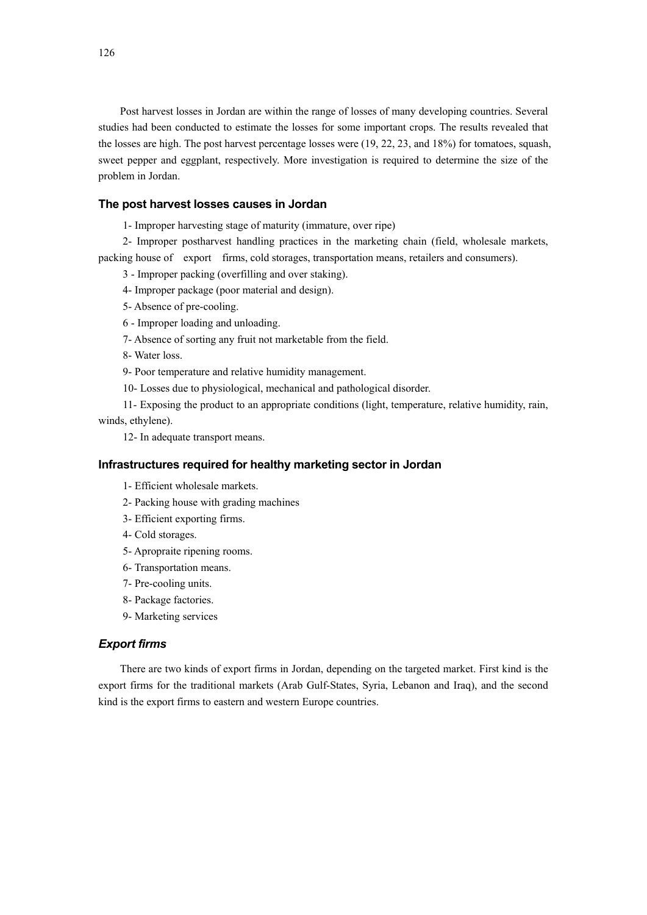Post harvest losses in Jordan are within the range of losses of many developing countries. Several studies had been conducted to estimate the losses for some important crops. The results revealed that the losses are high. The post harvest percentage losses were (19, 22, 23, and 18%) for tomatoes, squash, sweet pepper and eggplant, respectively. More investigation is required to determine the size of the problem in Jordan.

#### **The post harvest losses causes in Jordan**

1- Improper harvesting stage of maturity (immature, over ripe)

2- Improper postharvest handling practices in the marketing chain (field, wholesale markets, packing house of export firms, cold storages, transportation means, retailers and consumers).

3 - Improper packing (overfilling and over staking).

- 4- Improper package (poor material and design).
- 5- Absence of pre-cooling.

6 - Improper loading and unloading.

7- Absence of sorting any fruit not marketable from the field.

8- Water loss.

9- Poor temperature and relative humidity management.

10- Losses due to physiological, mechanical and pathological disorder.

11- Exposing the product to an appropriate conditions (light, temperature, relative humidity, rain, winds, ethylene).

12- In adequate transport means.

#### **Infrastructures required for healthy marketing sector in Jordan**

- 1- Efficient wholesale markets.
- 2- Packing house with grading machines
- 3- Efficient exporting firms.
- 4- Cold storages.
- 5- Apropraite ripening rooms.
- 6- Transportation means.
- 7- Pre-cooling units.
- 8- Package factories.
- 9- Marketing services

#### *Export firms*

There are two kinds of export firms in Jordan, depending on the targeted market. First kind is the export firms for the traditional markets (Arab Gulf-States, Syria, Lebanon and Iraq), and the second kind is the export firms to eastern and western Europe countries.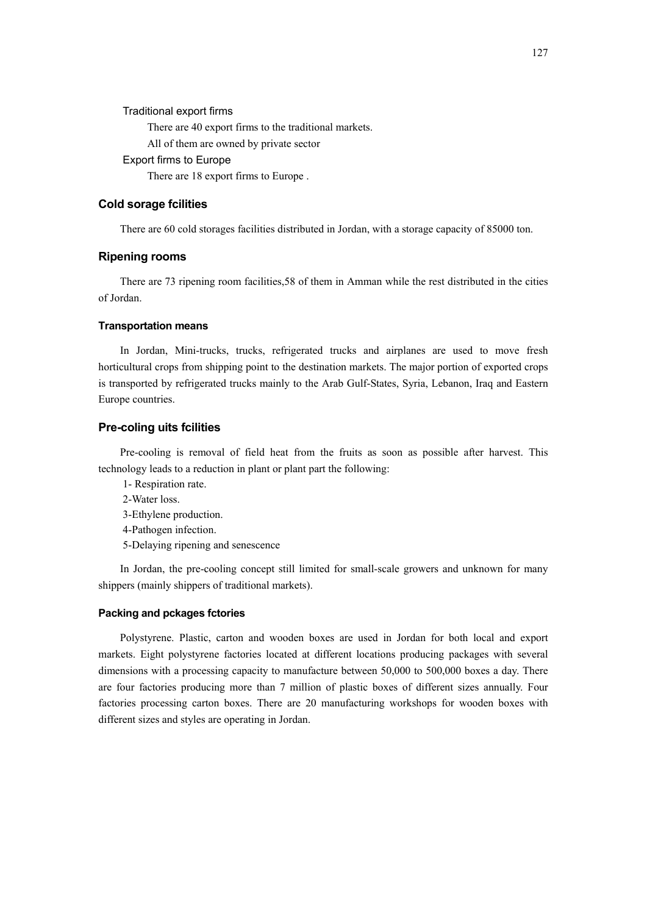#### Traditional export firms

There are 40 export firms to the traditional markets.

All of them are owned by private sector

## Export firms to Europe

There are 18 export firms to Europe .

#### **Cold sorage fcilities**

There are 60 cold storages facilities distributed in Jordan, with a storage capacity of 85000 ton.

## **Ripening rooms**

There are 73 ripening room facilities,58 of them in Amman while the rest distributed in the cities of Jordan.

#### **Transportation means**

In Jordan, Mini-trucks, trucks, refrigerated trucks and airplanes are used to move fresh horticultural crops from shipping point to the destination markets. The major portion of exported crops is transported by refrigerated trucks mainly to the Arab Gulf-States, Syria, Lebanon, Iraq and Eastern Europe countries.

#### **Pre-coling uits fcilities**

Pre-cooling is removal of field heat from the fruits as soon as possible after harvest. This technology leads to a reduction in plant or plant part the following:

- 1- Respiration rate.
- 2-Water loss.
- 3-Ethylene production.
- 4-Pathogen infection.
- 5-Delaying ripening and senescence

In Jordan, the pre-cooling concept still limited for small-scale growers and unknown for many shippers (mainly shippers of traditional markets).

#### **Packing and pckages fctories**

Polystyrene. Plastic, carton and wooden boxes are used in Jordan for both local and export markets. Eight polystyrene factories located at different locations producing packages with several dimensions with a processing capacity to manufacture between 50,000 to 500,000 boxes a day. There are four factories producing more than 7 million of plastic boxes of different sizes annually. Four factories processing carton boxes. There are 20 manufacturing workshops for wooden boxes with different sizes and styles are operating in Jordan.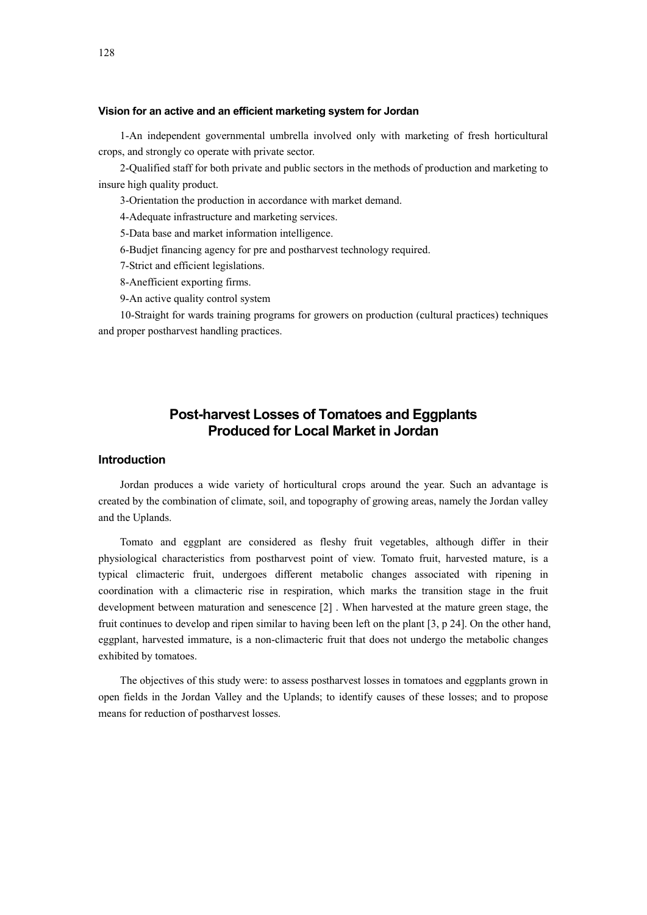#### **Vision for an active and an efficient marketing system for Jordan**

1-An independent governmental umbrella involved only with marketing of fresh horticultural crops, and strongly co operate with private sector.

2-Qualified staff for both private and public sectors in the methods of production and marketing to insure high quality product.

3-Orientation the production in accordance with market demand.

4-Adequate infrastructure and marketing services.

5-Data base and market information intelligence.

6-Budjet financing agency for pre and postharvest technology required.

7-Strict and efficient legislations.

8-Anefficient exporting firms.

9-An active quality control system

10-Straight for wards training programs for growers on production (cultural practices) techniques and proper postharvest handling practices.

# **Post-harvest Losses of Tomatoes and Eggplants Produced for Local Market in Jordan**

# **Introduction**

Jordan produces a wide variety of horticultural crops around the year. Such an advantage is created by the combination of climate, soil, and topography of growing areas, namely the Jordan valley and the Uplands.

Tomato and eggplant are considered as fleshy fruit vegetables, although differ in their physiological characteristics from postharvest point of view. Tomato fruit, harvested mature, is a typical climacteric fruit, undergoes different metabolic changes associated with ripening in coordination with a climacteric rise in respiration, which marks the transition stage in the fruit development between maturation and senescence [2] . When harvested at the mature green stage, the fruit continues to develop and ripen similar to having been left on the plant [3, p 24]. On the other hand, eggplant, harvested immature, is a non-climacteric fruit that does not undergo the metabolic changes exhibited by tomatoes.

The objectives of this study were: to assess postharvest losses in tomatoes and eggplants grown in open fields in the Jordan Valley and the Uplands; to identify causes of these losses; and to propose means for reduction of postharvest losses.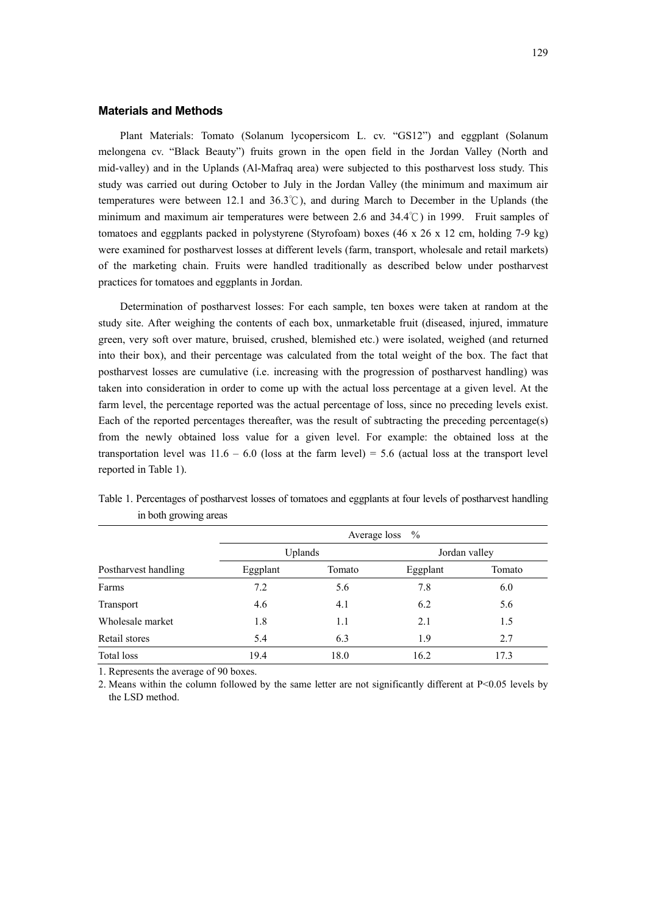#### **Materials and Methods**

Plant Materials: Tomato (Solanum lycopersicom L. cv. "GS12") and eggplant (Solanum melongena cv. "Black Beauty") fruits grown in the open field in the Jordan Valley (North and mid-valley) and in the Uplands (Al-Mafraq area) were subjected to this postharvest loss study. This study was carried out during October to July in the Jordan Valley (the minimum and maximum air temperatures were between 12.1 and 36.3℃), and during March to December in the Uplands (the minimum and maximum air temperatures were between 2.6 and 34.4℃) in 1999. Fruit samples of tomatoes and eggplants packed in polystyrene (Styrofoam) boxes (46 x 26 x 12 cm, holding 7-9 kg) were examined for postharvest losses at different levels (farm, transport, wholesale and retail markets) of the marketing chain. Fruits were handled traditionally as described below under postharvest practices for tomatoes and eggplants in Jordan.

Determination of postharvest losses: For each sample, ten boxes were taken at random at the study site. After weighing the contents of each box, unmarketable fruit (diseased, injured, immature green, very soft over mature, bruised, crushed, blemished etc.) were isolated, weighed (and returned into their box), and their percentage was calculated from the total weight of the box. The fact that postharvest losses are cumulative (i.e. increasing with the progression of postharvest handling) was taken into consideration in order to come up with the actual loss percentage at a given level. At the farm level, the percentage reported was the actual percentage of loss, since no preceding levels exist. Each of the reported percentages thereafter, was the result of subtracting the preceding percentage(s) from the newly obtained loss value for a given level. For example: the obtained loss at the transportation level was  $11.6 - 6.0$  (loss at the farm level) = 5.6 (actual loss at the transport level reported in Table 1).

|                      | $\frac{0}{0}$<br>Average loss |        |               |        |  |  |  |
|----------------------|-------------------------------|--------|---------------|--------|--|--|--|
|                      | <b>Uplands</b>                |        | Jordan valley |        |  |  |  |
| Postharvest handling | Eggplant                      | Tomato | Eggplant      | Tomato |  |  |  |
| Farms                | 7.2                           | 5.6    | 7.8           | 6.0    |  |  |  |
| Transport            | 4.6                           | 4.1    | 6.2           | 5.6    |  |  |  |
| Wholesale market     | 1.8                           | 1.1    | 2.1           | 1.5    |  |  |  |
| Retail stores        | 5.4                           | 6.3    | 1.9           | 2.7    |  |  |  |
| Total loss           | 19.4                          | 18.0   | 16.2          | 17.3   |  |  |  |

Table 1. Percentages of postharvest losses of tomatoes and eggplants at four levels of postharvest handling in both growing areas

1. Represents the average of 90 boxes.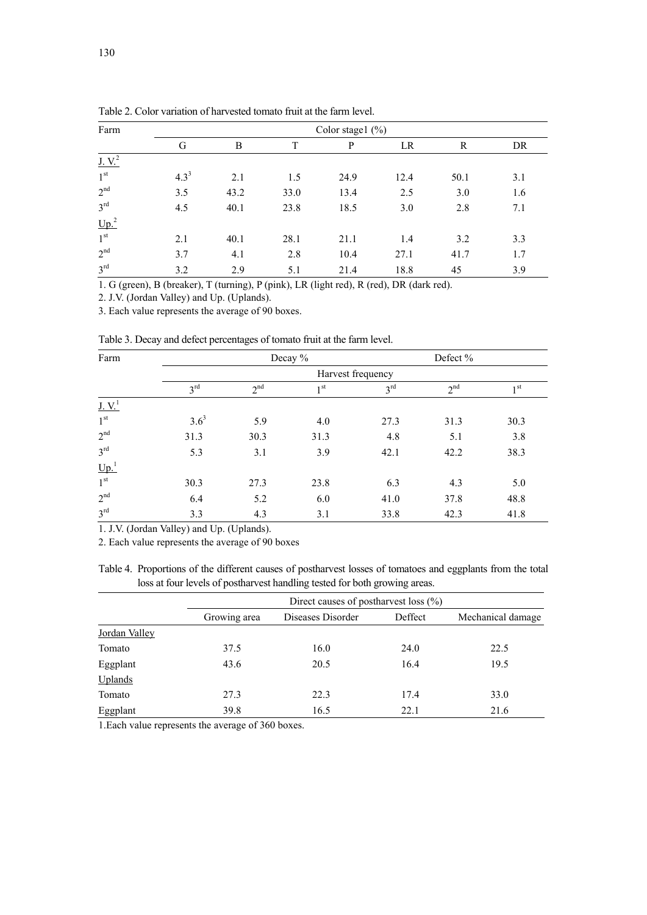| Farm                        |           |      |      | Color stage $1$ (%) |      |      |     |
|-----------------------------|-----------|------|------|---------------------|------|------|-----|
|                             | G         | B    | T    | P                   | LR   | R    | DR  |
| $J_{\cdot}$ V. <sup>2</sup> |           |      |      |                     |      |      |     |
| 1 <sup>st</sup>             | $4.3^{3}$ | 2.1  | 1.5  | 24.9                | 12.4 | 50.1 | 3.1 |
| $2^{nd}$                    | 3.5       | 43.2 | 33.0 | 13.4                | 2.5  | 3.0  | 1.6 |
| $3^{\text{rd}}$             | 4.5       | 40.1 | 23.8 | 18.5                | 3.0  | 2.8  | 7.1 |
| Up. <sup>2</sup>            |           |      |      |                     |      |      |     |
| $1^{\rm st}$                | 2.1       | 40.1 | 28.1 | 21.1                | 1.4  | 3.2  | 3.3 |
| $2^{nd}$                    | 3.7       | 4.1  | 2.8  | 10.4                | 27.1 | 41.7 | 1.7 |
| $3^{\text{rd}}$             | 3.2       | 2.9  | 5.1  | 21.4                | 18.8 | 45   | 3.9 |

Table 2. Color variation of harvested tomato fruit at the farm level.

1. G (green), B (breaker), T (turning), P (pink), LR (light red), R (red), DR (dark red).

2. J.V. (Jordan Valley) and Up. (Uplands).

3. Each value represents the average of 90 boxes.

| Table 3. Decay and defect percentages of tomato fruit at the farm level. |  |  |  |
|--------------------------------------------------------------------------|--|--|--|
|                                                                          |  |  |  |

| Farm                       |                 |                 | Decay %         |                   | Defect %        |                 |
|----------------------------|-----------------|-----------------|-----------------|-------------------|-----------------|-----------------|
|                            |                 |                 |                 | Harvest frequency |                 |                 |
|                            | $3^{\text{rd}}$ | 2 <sup>nd</sup> | 1 <sup>st</sup> | 3 <sup>rd</sup>   | 2 <sup>nd</sup> | 1 <sub>st</sub> |
| $J_{\cdot}V_{\cdot}^1$     |                 |                 |                 |                   |                 |                 |
| 1 <sup>st</sup>            | $3.6^3$         | 5.9             | 4.0             | 27.3              | 31.3            | 30.3            |
| 2 <sup>nd</sup>            | 31.3            | 30.3            | 31.3            | 4.8               | 5.1             | 3.8             |
| $3^{\text{rd}}$            | 5.3             | 3.1             | 3.9             | 42.1              | 42.2            | 38.3            |
| $\underline{\text{Up.}}^1$ |                 |                 |                 |                   |                 |                 |
| 1 <sup>st</sup>            | 30.3            | 27.3            | 23.8            | 6.3               | 4.3             | 5.0             |
| 2 <sup>nd</sup>            | 6.4             | 5.2             | 6.0             | 41.0              | 37.8            | 48.8            |
| $3^{\text{rd}}$            | 3.3             | 4.3             | 3.1             | 33.8              | 42.3            | 41.8            |

1. J.V. (Jordan Valley) and Up. (Uplands).

2. Each value represents the average of 90 boxes

Table 4. Proportions of the different causes of postharvest losses of tomatoes and eggplants from the total loss at four levels of postharvest handling tested for both growing areas.

|               |              | Direct causes of postharvest loss $(\% )$ |         |                   |
|---------------|--------------|-------------------------------------------|---------|-------------------|
|               | Growing area | Diseases Disorder                         | Deffect | Mechanical damage |
| Jordan Valley |              |                                           |         |                   |
| Tomato        | 37.5         | 16.0                                      | 24.0    | 22.5              |
| Eggplant      | 43.6         | 20.5                                      | 16.4    | 19.5              |
| Uplands       |              |                                           |         |                   |
| Tomato        | 27.3         | 22.3                                      | 17.4    | 33.0              |
| Eggplant      | 39.8         | 16.5                                      | 22.1    | 21.6              |

1.Each value represents the average of 360 boxes.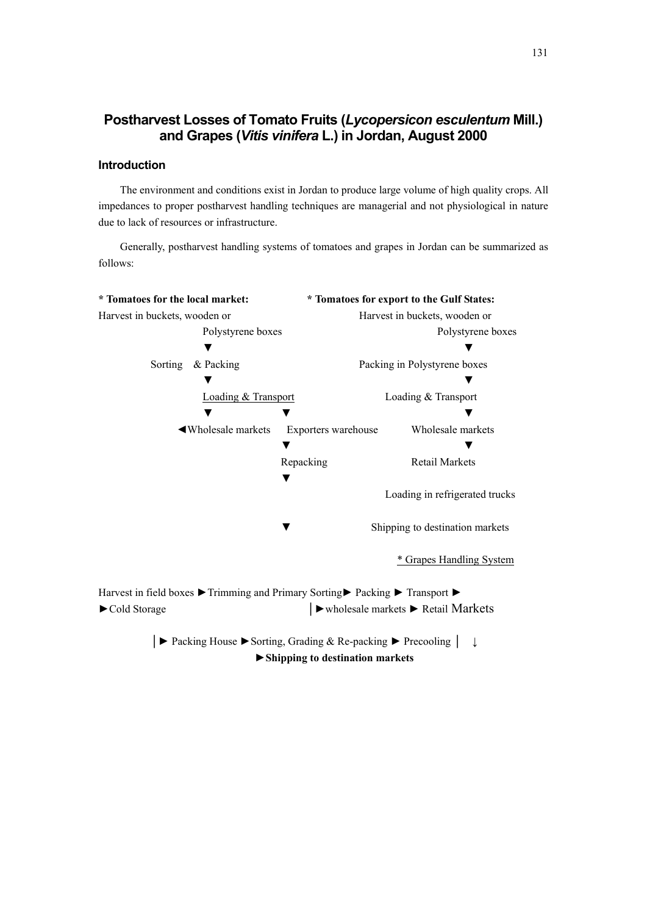# **Postharvest Losses of Tomato Fruits (***Lycopersicon esculentum* **Mill.) and Grapes (***Vitis vinifera* **L.) in Jordan, August 2000**

# **Introduction**

The environment and conditions exist in Jordan to produce large volume of high quality crops. All impedances to proper postharvest handling techniques are managerial and not physiological in nature due to lack of resources or infrastructure.

Generally, postharvest handling systems of tomatoes and grapes in Jordan can be summarized as follows:

| * Tomatoes for the local market:                                                                          |                     | * Tomatoes for export to the Gulf States:                                    |  |  |
|-----------------------------------------------------------------------------------------------------------|---------------------|------------------------------------------------------------------------------|--|--|
| Harvest in buckets, wooden or                                                                             |                     | Harvest in buckets, wooden or                                                |  |  |
| Polystyrene boxes                                                                                         |                     | Polystyrene boxes                                                            |  |  |
|                                                                                                           |                     |                                                                              |  |  |
| & Packing<br>Sorting                                                                                      |                     | Packing in Polystyrene boxes                                                 |  |  |
|                                                                                                           |                     |                                                                              |  |  |
| Loading & Transport                                                                                       |                     | Loading & Transport                                                          |  |  |
|                                                                                                           |                     |                                                                              |  |  |
| ◀ Wholesale markets                                                                                       | Exporters warehouse | Wholesale markets                                                            |  |  |
|                                                                                                           |                     |                                                                              |  |  |
|                                                                                                           | Repacking           | Retail Markets                                                               |  |  |
|                                                                                                           |                     |                                                                              |  |  |
|                                                                                                           |                     | Loading in refrigerated trucks                                               |  |  |
|                                                                                                           |                     |                                                                              |  |  |
|                                                                                                           |                     | Shipping to destination markets                                              |  |  |
|                                                                                                           |                     |                                                                              |  |  |
|                                                                                                           |                     | <b>Grapes Handling System</b>                                                |  |  |
|                                                                                                           |                     |                                                                              |  |  |
| Harvest in field boxes ▶ Trimming and Primary Sorting ▶ Packing ▶ Transport ▶                             |                     |                                                                              |  |  |
| Cold Storage                                                                                              |                     | $\blacktriangleright$ wholesale markets $\blacktriangleright$ Retail Markets |  |  |
|                                                                                                           |                     |                                                                              |  |  |
| $\triangleright$ Packing House $\triangleright$ Sorting, Grading & Re-packing $\triangleright$ Precooling |                     |                                                                              |  |  |

►**Shipping to destination markets**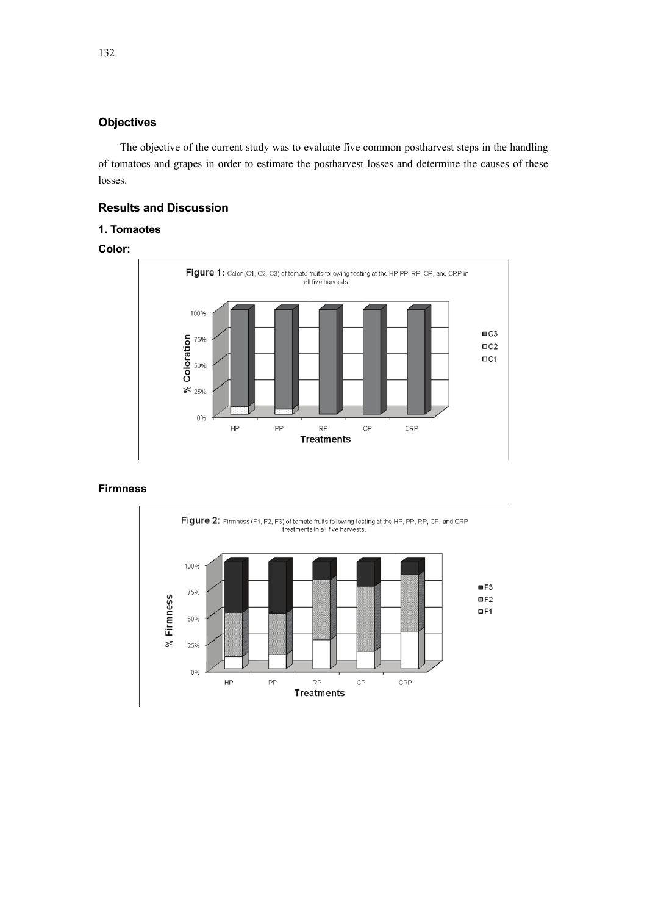# **Objectives**

The objective of the current study was to evaluate five common postharvest steps in the handling of tomatoes and grapes in order to estimate the postharvest losses and determine the causes of these losses.

# **Results and Discussion**

#### **1. Tomaotes**

# **Color:**



# **Firmness**

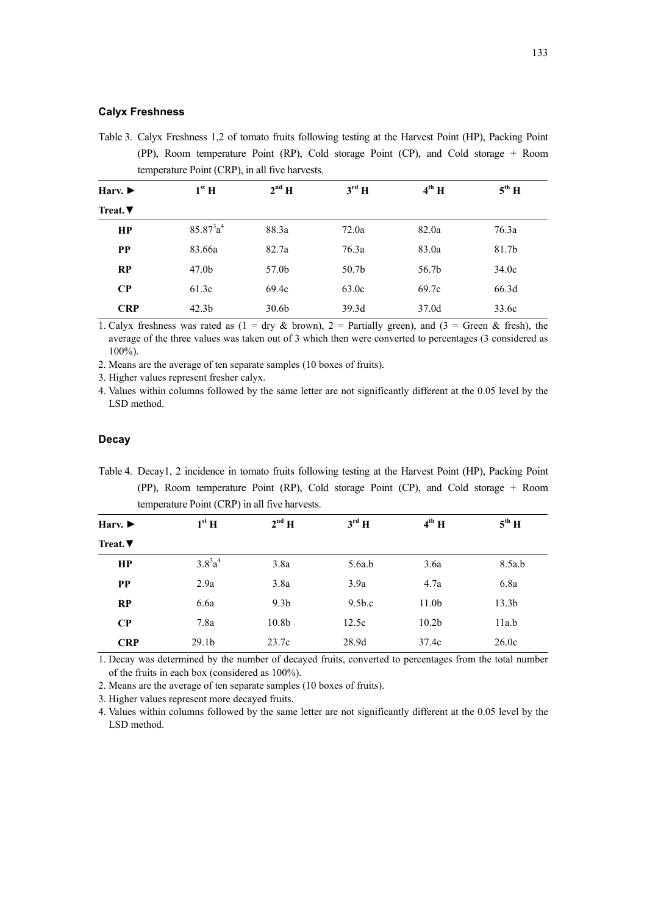#### **Calyx Freshness**

Table 3. Calyx Freshness 1,2 of tomato fruits following testing at the Harvest Point (HP), Packing Point (PP), Room temperature Point (RP), Cold storage Point (CP), and Cold storage + Room temperature Point (CRP), in all five harvests.

| Harv. $\blacktriangleright$ | $1st$ H           | $2^{nd}$ H        | $3^{\text{rd}}$ H | $4^{th}$ H | $5^{\text{th}}$ H |  |
|-----------------------------|-------------------|-------------------|-------------------|------------|-------------------|--|
| Treat. $\blacktriangledown$ |                   |                   |                   |            |                   |  |
| HP                          | $85.87^{3}a^{4}$  | 88.3a             | 72.0a             | 82.0a      | 76.3a             |  |
| <b>PP</b>                   | 83.66a            | 82.7a             | 76.3a             | 83.0a      | 81.7b             |  |
| RP                          | 47.0 <sub>b</sub> | 57.0b             | 50.7 <sub>b</sub> | 56.7b      | 34.0c             |  |
| $\bf CP$                    | 61.3c             | 69.4c             | 63.0c             | 69.7c      | 66.3d             |  |
| <b>CRP</b>                  | 42.3 <sub>b</sub> | 30.6 <sub>b</sub> | 39.3d             | 37.0d      | 33.6c             |  |
|                             |                   |                   |                   |            |                   |  |

1. Calyx freshness was rated as (1 = dry & brown), 2 = Partially green), and (3 = Green & fresh), the average of the three values was taken out of 3 which then were converted to percentages (3 considered as 100%).

2. Means are the average of ten separate samples (10 boxes of fruits).

3. Higher values represent fresher calyx.

4. Values within columns followed by the same letter are not significantly different at the 0.05 level by the LSD method.

#### **Decay**

Table 4. Decay1, 2 incidence in tomato fruits following testing at the Harvest Point (HP), Packing Point (PP), Room temperature Point (RP), Cold storage Point (CP), and Cold storage + Room temperature Point (CRP) in all five harvests.

| Harv. $\blacktriangleright$ | $1st$ H           | $2^{nd}$ H        | $3^{\text{rd}}$ H  | $4^{th}$ H        | $5^{\text{th}}$ H |
|-----------------------------|-------------------|-------------------|--------------------|-------------------|-------------------|
| Treat. $\nabla$             |                   |                   |                    |                   |                   |
| HP                          | $3.8^{3}a^{4}$    | 3.8a              | 5.6a.b             | 3.6a              | 8.5a.b            |
| <b>PP</b>                   | 2.9a              | 3.8a              | 3.9a               | 4.7a              | 6.8a              |
| RP                          | 6.6a              | 9.3 <sub>b</sub>  | 9.5 <sub>b.c</sub> | 11.0 <sub>b</sub> | 13.3 <sub>b</sub> |
| $\bf CP$                    | 7.8a              | 10.8 <sub>b</sub> | 12.5c              | 10.2 <sub>b</sub> | 11a.b             |
| <b>CRP</b>                  | 29.1 <sub>b</sub> | 23.7c             | 28.9d              | 37.4c             | 26.0c             |

1. Decay was determined by the number of decayed fruits, converted to percentages from the total number of the fruits in each box (considered as 100%).

2. Means are the average of ten separate samples (10 boxes of fruits).

3. Higher values represent more decayed fruits.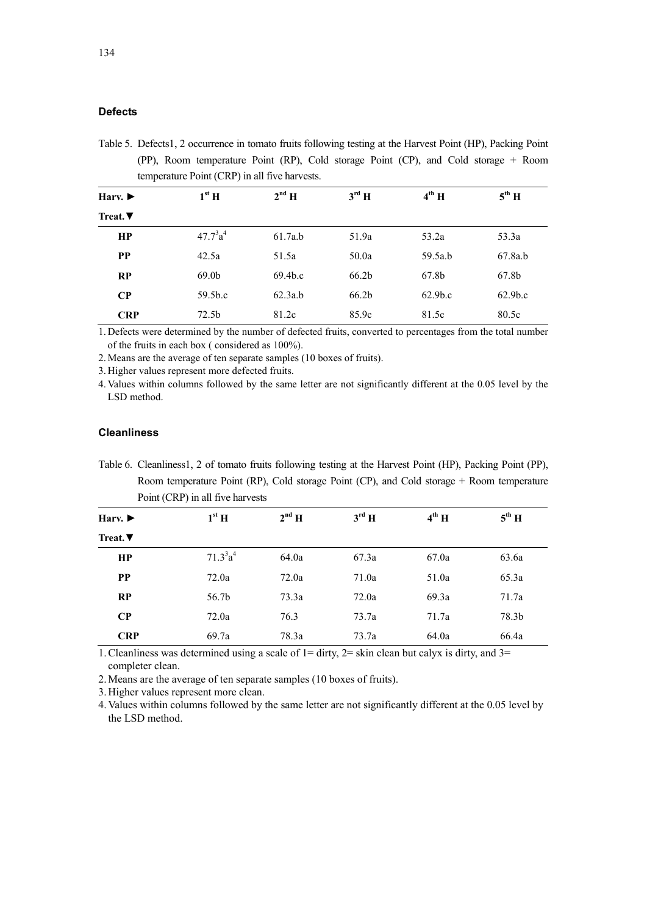#### **Defects**

Table 5. Defects1, 2 occurrence in tomato fruits following testing at the Harvest Point (HP), Packing Point (PP), Room temperature Point (RP), Cold storage Point (CP), and Cold storage + Room temperature Point (CRP) in all five harvests.

| Harv. $\blacktriangleright$ | $1^{\rm st}$ H      | $2^{nd}$ H          | $3^{\text{rd}}$ H | $4^{th}$ H          | $5^{\text{th}}$ H   |
|-----------------------------|---------------------|---------------------|-------------------|---------------------|---------------------|
| Treat. $\nabla$             |                     |                     |                   |                     |                     |
| HP                          | $47.7^{3}a^{4}$     | 61.7a.b             | 51.9a             | 53.2a               | 53.3a               |
| <b>PP</b>                   | 42.5a               | 51.5a               | 50.0a             | 59.5a.b             | 67.8a.b             |
| <b>RP</b>                   | 69.0 <sub>b</sub>   | 69.4 <sub>b.c</sub> | 66.2b             | 67.8b               | 67.8b               |
| $\bf CP$                    | 59.5 <sub>b.c</sub> | 62.3a.b             | 66.2 <sub>b</sub> | 62.9 <sub>b.c</sub> | 62.9 <sub>b.c</sub> |
| <b>CRP</b>                  | 72.5 <sub>b</sub>   | 81.2c               | 85.9c             | 81.5c               | 80.5c               |

1. Defects were determined by the number of defected fruits, converted to percentages from the total number of the fruits in each box ( considered as 100%).

2. Means are the average of ten separate samples (10 boxes of fruits).

3. Higher values represent more defected fruits.

4. Values within columns followed by the same letter are not significantly different at the 0.05 level by the LSD method.

#### **Cleanliness**

Table 6. Cleanliness1, 2 of tomato fruits following testing at the Harvest Point (HP), Packing Point (PP), Room temperature Point (RP), Cold storage Point (CP), and Cold storage + Room temperature Point (CRP) in all five harvests

| Harv. $\blacktriangleright$ | $1st$ H                          | $2^{nd}$ H | $3^{\text{rd}}$ H | $4^{th}$ H | $5^{\text{th}}$ H |
|-----------------------------|----------------------------------|------------|-------------------|------------|-------------------|
| Treat. $\nabla$             |                                  |            |                   |            |                   |
| HP                          | 71.3 <sup>3</sup> a <sup>4</sup> | 64.0a      | 67.3a             | 67.0a      | 63.6a             |
| <b>PP</b>                   | 72.0a                            | 72.0a      | 71.0a             | 51.0a      | 65.3a             |
| RP                          | 56.7b                            | 73.3a      | 72.0a             | 69.3a      | 71.7a             |
| $\bf CP$                    | 72.0a                            | 76.3       | 73.7a             | 71.7a      | 78.3b             |
| <b>CRP</b>                  | 69.7a                            | 78.3a      | 73.7a             | 64.0a      | 66.4a             |

1. Cleanliness was determined using a scale of  $1=$  dirty,  $2=$  skin clean but calyx is dirty, and  $3=$ completer clean.

2. Means are the average of ten separate samples (10 boxes of fruits).

3. Higher values represent more clean.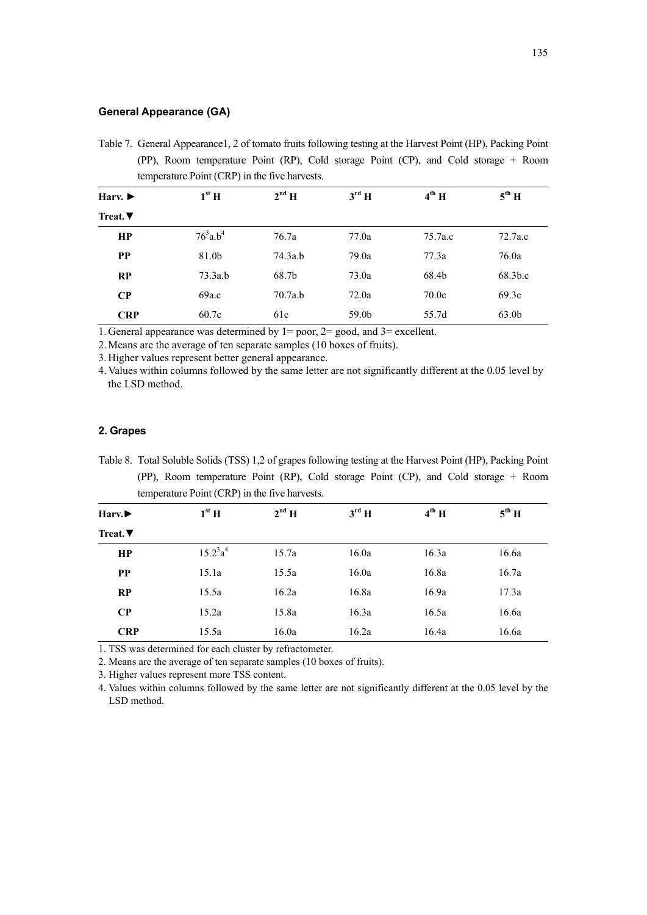### **General Appearance (GA)**

Table 7. General Appearance1, 2 of tomato fruits following testing at the Harvest Point (HP), Packing Point (PP), Room temperature Point (RP), Cold storage Point (CP), and Cold storage + Room temperature Point (CRP) in the five harvests.

| Harv. $\blacktriangleright$ | $1st$ H                 | $2^{nd}$ H | $3^{\text{rd}}$ H | $4^{\text{th}}$ H | $5^{\text{th}}$ H |
|-----------------------------|-------------------------|------------|-------------------|-------------------|-------------------|
| Treat. $\nabla$             |                         |            |                   |                   |                   |
| HP                          | $76^3$ a.b <sup>4</sup> | 76.7a      | 77.0a             | 75.7a.c           | 72.7a.c           |
| <b>PP</b>                   | 81.0b                   | 74.3a.b    | 79.0a             | 77.3a             | 76.0a             |
| RP                          | 73.3a.b                 | 68.7b      | 73.0a             | 68.4b             | 68.3b.c           |
| $\bf CP$                    | 69a.c                   | 70.7a.b    | 72.0a             | 70.0c             | 69.3c             |
| <b>CRP</b>                  | 60.7c                   | 61c        | 59.0b             | 55.7d             | 63.0b             |

1. General appearance was determined by 1= poor, 2= good, and 3= excellent.

2. Means are the average of ten separate samples (10 boxes of fruits).

3. Higher values represent better general appearance.

4. Values within columns followed by the same letter are not significantly different at the 0.05 level by the LSD method.

## **2. Grapes**

Table 8. Total Soluble Solids (TSS) 1,2 of grapes following testing at the Harvest Point (HP), Packing Point (PP), Room temperature Point (RP), Cold storage Point (CP), and Cold storage + Room temperature Point (CRP) in the five harvests.

| Harv.           | $1st$ H         | $2^{nd}$ H | $3^{\text{rd}}$ H | $4^{th}$ H | $5^{\text{th}}$ H |
|-----------------|-----------------|------------|-------------------|------------|-------------------|
| Treat. $\nabla$ |                 |            |                   |            |                   |
| HP              | $15.2^{3}a^{4}$ | 15.7a      | 16.0a             | 16.3a      | 16.6a             |
| <b>PP</b>       | 15.1a           | 15.5a      | 16.0a             | 16.8a      | 16.7a             |
| RP              | 15.5a           | 16.2a      | 16.8a             | 16.9a      | 17.3a             |
| $\bf CP$        | 15.2a           | 15.8a      | 16.3a             | 16.5a      | 16.6a             |
| <b>CRP</b>      | 15.5a           | 16.0a      | 16.2a             | 16.4a      | 16.6a             |

1. TSS was determined for each cluster by refractometer.

2. Means are the average of ten separate samples (10 boxes of fruits).

3. Higher values represent more TSS content.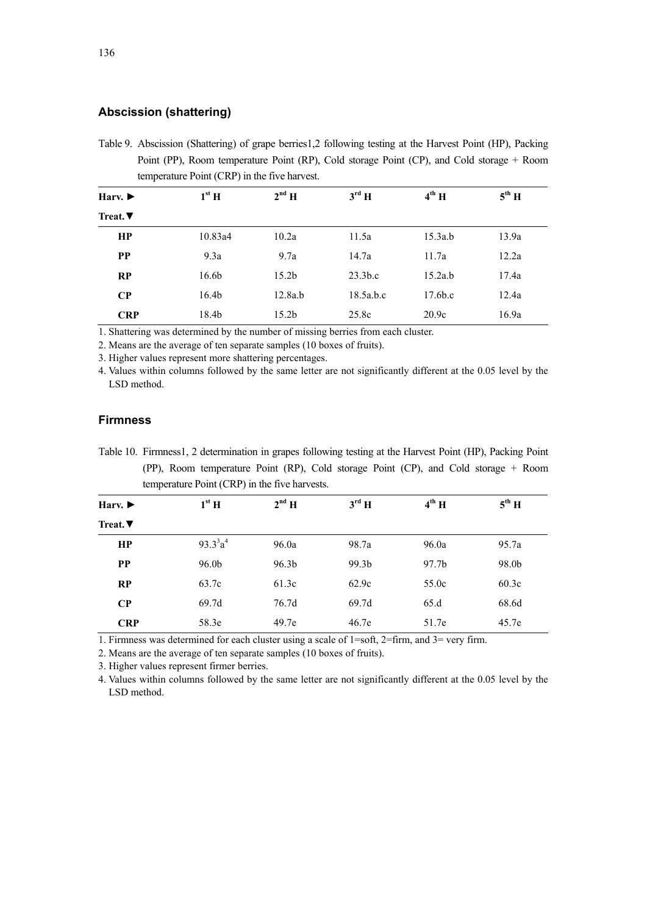# **Abscission (shattering)**

Table 9. Abscission (Shattering) of grape berries1,2 following testing at the Harvest Point (HP), Packing Point (PP), Room temperature Point (RP), Cold storage Point (CP), and Cold storage + Room temperature Point (CRP) in the five harvest.

| Harv. $\blacktriangleright$ | $1st$ H           | $2^{nd}$ H        | $3^{\text{rd}}$ H   | $4^{th}$ H          | $5^{\text{th}}$ H |
|-----------------------------|-------------------|-------------------|---------------------|---------------------|-------------------|
| Treat. $\nabla$             |                   |                   |                     |                     |                   |
| HP                          | 10.83a4           | 10.2a             | 11.5a               | 15.3a.b             | 13.9a             |
| <b>PP</b>                   | 9.3a              | 9.7a              | 14.7a               | 11.7a               | 12.2a             |
| RP                          | 16.6 <sub>b</sub> | 15.2 <sub>b</sub> | 23.3 <sub>b.c</sub> | 15.2a.b             | 17.4a             |
| $\bf CP$                    | 16.4 <sub>b</sub> | 12.8a.b           | 18.5a.b.c           | 17.6 <sub>b.c</sub> | 12.4a             |
| <b>CRP</b>                  | 18.4b             | 15.2 <sub>b</sub> | 25.8c               | 20.9c               | 16.9a             |

1. Shattering was determined by the number of missing berries from each cluster.

2. Means are the average of ten separate samples (10 boxes of fruits).

3. Higher values represent more shattering percentages.

4. Values within columns followed by the same letter are not significantly different at the 0.05 level by the LSD method.

# **Firmness**

Table 10. Firmness1, 2 determination in grapes following testing at the Harvest Point (HP), Packing Point (PP), Room temperature Point (RP), Cold storage Point (CP), and Cold storage + Room temperature Point (CRP) in the five harvests.

| Harv. $\blacktriangleright$ | $1st$ H         | $2^{nd}$ H        | $3^{\text{rd}}$ H | $4^{th}$ H | $5^{\text{th}}$ H |
|-----------------------------|-----------------|-------------------|-------------------|------------|-------------------|
| Treat. $\nabla$             |                 |                   |                   |            |                   |
| HP                          | $93.3^{3}a^{4}$ | 96.0a             | 98.7a             | 96.0a      | 95.7a             |
| <b>PP</b>                   | 96.0b           | 96.3 <sub>b</sub> | 99.3b             | 97.7b      | 98.0b             |
| RP                          | 63.7c           | 61.3c             | 62.9c             | 55.0c      | 60.3c             |
| $\bf CP$                    | 69.7d           | 76.7d             | 69.7d             | 65.d       | 68.6d             |
| <b>CRP</b>                  | 58.3e           | 49.7e             | 46.7e             | 51.7e      | 45.7e             |

1. Firmness was determined for each cluster using a scale of 1=soft, 2=firm, and 3= very firm.

2. Means are the average of ten separate samples (10 boxes of fruits).

3. Higher values represent firmer berries.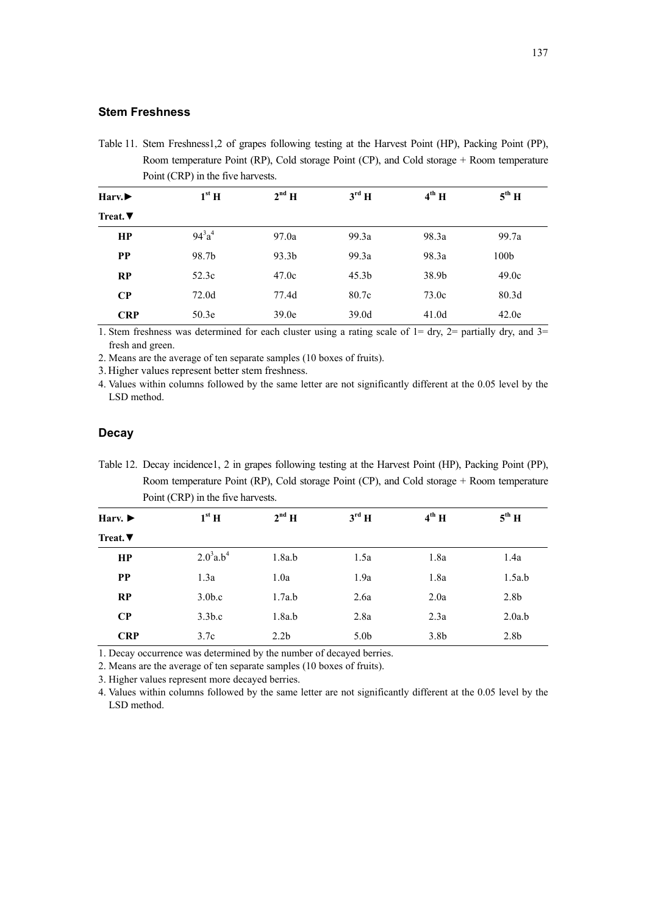# **Stem Freshness**

Table 11. Stem Freshness1,2 of grapes following testing at the Harvest Point (HP), Packing Point (PP), Room temperature Point (RP), Cold storage Point (CP), and Cold storage + Room temperature Point (CRP) in the five harvests.

| Harv.           | $1st$ H       | $2^{nd}$ H | $3^{\text{rd}}$ H | $4^{\text{th}}$ H | $5^{\text{th}}$ H |
|-----------------|---------------|------------|-------------------|-------------------|-------------------|
| Treat. $\nabla$ |               |            |                   |                   |                   |
| HP              | $94^{3}a^{4}$ | 97.0a      | 99.3a             | 98.3a             | 99.7a             |
| <b>PP</b>       | 98.7b         | 93.3b      | 99.3a             | 98.3a             | 100 <sub>b</sub>  |
| RP              | 52.3c         | 47.0c      | 45.3 <sub>b</sub> | 38.9b             | 49.0c             |
| $\bf CP$        | 72.0d         | 77.4d      | 80.7c             | 73.0c             | 80.3 <sub>d</sub> |
| <b>CRP</b>      | 50.3e         | 39.0e      | 39.0d             | 41.0d             | 42.0e             |

1. Stem freshness was determined for each cluster using a rating scale of  $1 = \text{dry}$ ,  $2 = \text{partially dry}$ , and  $3 =$ fresh and green.

2. Means are the average of ten separate samples (10 boxes of fruits).

3. Higher values represent better stem freshness.

4. Values within columns followed by the same letter are not significantly different at the 0.05 level by the LSD method.

## **Decay**

Table 12. Decay incidence1, 2 in grapes following testing at the Harvest Point (HP), Packing Point (PP), Room temperature Point (RP), Cold storage Point (CP), and Cold storage + Room temperature Point (CRP) in the five harvests.

| Harv. $\blacktriangleright$ | $1st$ H                    | $2^{nd}$ H       | $3^{\text{rd}}$ H | $4^{th}$ H       | $5^{\text{th}}$ H |
|-----------------------------|----------------------------|------------------|-------------------|------------------|-------------------|
| Treat. $\nabla$             |                            |                  |                   |                  |                   |
| HP                          | $2.0^{3}$ a.b <sup>4</sup> | 1.8a.b           | 1.5a              | 1.8a             | 1.4a              |
| <b>PP</b>                   | 1.3a                       | 1.0a             | 1.9a              | 1.8a             | 1.5a.b            |
| RP                          | 3.0 <sub>b.c</sub>         | 1.7a.b           | 2.6a              | 2.0a             | 2.8 <sub>b</sub>  |
| $\bf CP$                    | 3.3 <sub>b.c</sub>         | 1.8a.b           | 2.8a              | 2.3a             | 2.0a.b            |
| <b>CRP</b>                  | 3.7c                       | 2.2 <sub>b</sub> | 5.0 <sub>b</sub>  | 3.8 <sub>b</sub> | 2.8 <sub>b</sub>  |

1. Decay occurrence was determined by the number of decayed berries.

2. Means are the average of ten separate samples (10 boxes of fruits).

3. Higher values represent more decayed berries.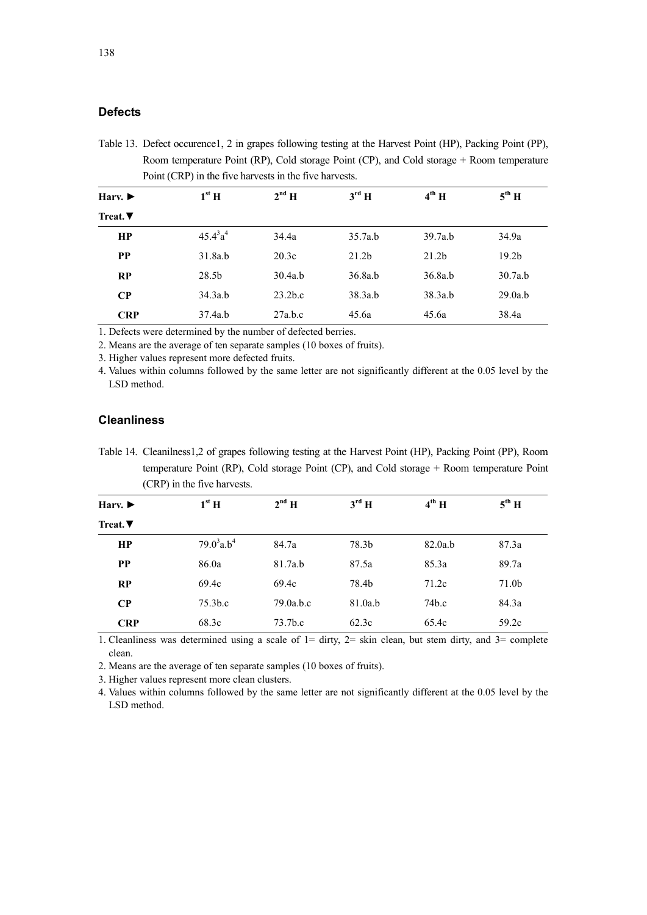# **Defects**

Table 13. Defect occurence1, 2 in grapes following testing at the Harvest Point (HP), Packing Point (PP), Room temperature Point (RP), Cold storage Point (CP), and Cold storage + Room temperature Point (CRP) in the five harvests in the five harvests.

| Harv. $\blacktriangleright$ | $1^{\rm st}$ H    | $2^{nd}$ H          | $3^{\text{rd}}$ H | $4^{\text{th}}$ H | $5^{\text{th}}$ H |
|-----------------------------|-------------------|---------------------|-------------------|-------------------|-------------------|
| Treat. $\blacktriangledown$ |                   |                     |                   |                   |                   |
| HP                          | $45.4^{3}a^{4}$   | 34.4a               | 35.7a.b           | 39.7a.b           | 34.9a             |
| <b>PP</b>                   | 31.8a.b           | 20.3c               | 21.2 <sub>b</sub> | 21.2 <sub>b</sub> | 19.2 <sub>b</sub> |
| RP                          | 28.5 <sub>b</sub> | 30.4a.b             | 36.8a.b           | 36.8a.b           | 30.7a.b           |
| $\bf CP$                    | 34.3a.b           | 23.2 <sub>b.c</sub> | 38.3a.b           | 38.3a.b           | 29.0a.b           |
| <b>CRP</b>                  | 37.4a.b           | 27a.b.c             | 45.6a             | 45.6a             | 38.4a             |

1. Defects were determined by the number of defected berries.

2. Means are the average of ten separate samples (10 boxes of fruits).

3. Higher values represent more defected fruits.

4. Values within columns followed by the same letter are not significantly different at the 0.05 level by the LSD method.

# **Cleanliness**

Table 14. Cleanilness1,2 of grapes following testing at the Harvest Point (HP), Packing Point (PP), Room temperature Point (RP), Cold storage Point (CP), and Cold storage + Room temperature Point (CRP) in the five harvests.

| Harv. $\blacktriangleright$ | $1st$ H                   | $2^{nd}$ H          | $3^{\text{rd}}$ H | $4^{\text{th}}$ H | $5^{\text{th}}$ H |
|-----------------------------|---------------------------|---------------------|-------------------|-------------------|-------------------|
| Treat. $\nabla$             |                           |                     |                   |                   |                   |
| HP                          | $79.0^3$ a.b <sup>4</sup> | 84.7a               | 78.3b             | 82.0a.b           | 87.3a             |
| <b>PP</b>                   | 86.0a                     | 81.7a.b             | 87.5a             | 85.3a             | 89.7a             |
| RP                          | 69.4c                     | 69.4c               | 78.4b             | 71.2c             | 71.0 <sub>b</sub> |
| $\bf CP$                    | 75.3 <sub>b.c</sub>       | 79.0a.b.c           | 81.0a.b           | 74b.c             | 84.3a             |
| <b>CRP</b>                  | 68.3c                     | 73.7 <sub>b.c</sub> | 62.3c             | 65.4c             | 59.2c             |

1. Cleanliness was determined using a scale of  $1 = \text{dirty, } 2 = \text{skin clean, but stem dirty, and } 3 = \text{complete}$ clean.

2. Means are the average of ten separate samples (10 boxes of fruits).

3. Higher values represent more clean clusters.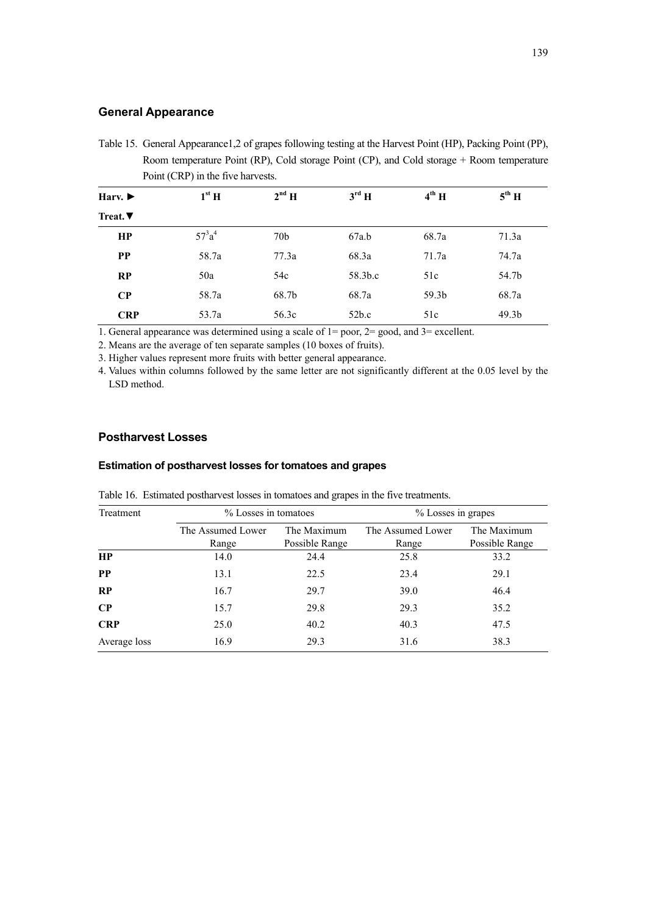# **General Appearance**

Table 15. General Appearance1,2 of grapes following testing at the Harvest Point (HP), Packing Point (PP), Room temperature Point (RP), Cold storage Point (CP), and Cold storage + Room temperature Point (CRP) in the five harvests.

| Harv. $\blacktriangleright$ | $1st$ H   | $2^{nd}$ H      | $3^{\text{rd}}$ H | $4^{th}$ H        | $5^{\text{th}}$ H |
|-----------------------------|-----------|-----------------|-------------------|-------------------|-------------------|
| Treat. $\nabla$             |           |                 |                   |                   |                   |
| HP                          | $57^3a^4$ | 70 <sub>b</sub> | 67a.b             | 68.7a             | 71.3a             |
| <b>PP</b>                   | 58.7a     | 77.3a           | 68.3a             | 71.7a             | 74.7a             |
| RP                          | 50a       | 54c             | 58.3b.c           | 51c               | 54.7b             |
| $\bf CP$                    | 58.7a     | 68.7b           | 68.7a             | 59.3 <sub>b</sub> | 68.7a             |
| <b>CRP</b>                  | 53.7a     | 56.3c           | 52 <sub>b.c</sub> | 51c               | 49.3 <sub>b</sub> |

1. General appearance was determined using a scale of 1= poor, 2= good, and 3= excellent.

2. Means are the average of ten separate samples (10 boxes of fruits).

3. Higher values represent more fruits with better general appearance.

4. Values within columns followed by the same letter are not significantly different at the 0.05 level by the LSD method.

# **Postharvest Losses**

### **Estimation of postharvest losses for tomatoes and grapes**

| Treatment    | % Losses in tomatoes |                | % Losses in grapes |                |  |
|--------------|----------------------|----------------|--------------------|----------------|--|
|              | The Assumed Lower    | The Maximum    | The Assumed Lower  | The Maximum    |  |
|              | Range                | Possible Range | Range              | Possible Range |  |
| HP           | 14.0                 | 24.4           | 25.8               | 33.2           |  |
| <b>PP</b>    | 13.1                 | 22.5           | 23.4               | 29.1           |  |
| RP           | 16.7                 | 29.7           | 39.0               | 46.4           |  |
| $\bf CP$     | 15.7                 | 29.8           | 29.3               | 35.2           |  |
| <b>CRP</b>   | 25.0                 | 40.2           | 40.3               | 47.5           |  |
| Average loss | 16.9                 | 29.3           | 31.6               | 38.3           |  |

Table 16. Estimated postharvest losses in tomatoes and grapes in the five treatments.